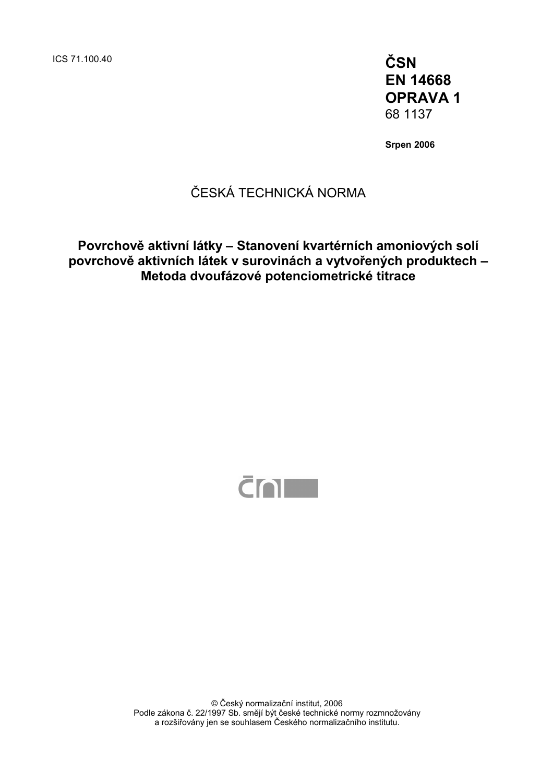ICS 71.100.40 **ČSN** 

**EN 14668 OPRAVA 1**  68 1137

**Srpen 2006** 

### ČESKÁ TECHNICKÁ NORMA

**Povrchově aktivní látky – Stanovení kvartérních amoniových solí povrchově aktivních látek v surovinách a vytvořených produktech – Metoda dvoufázové potenciometrické titrace** 



© Český normalizační institut, 2006 Podle zákona č. 22/1997 Sb. smějí být české technické normy rozmnožovány a rozšiřovány jen se souhlasem Českého normalizačního institutu.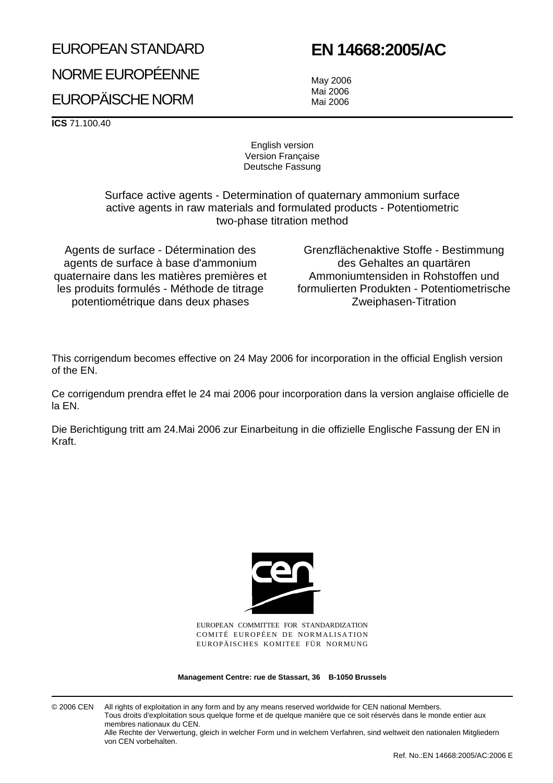# EUROPEAN STANDARD NORME EUROPÉENNE EUROPÄISCHE NORM

# **EN 14668:2005/AC**

May 2006 Mai 2006 Mai 2006

**ICS** 71.100.40

English version Version Française Deutsche Fassung

Surface active agents - Determination of quaternary ammonium surface active agents in raw materials and formulated products - Potentiometric two-phase titration method

Agents de surface - Détermination des agents de surface à base d'ammonium quaternaire dans les matières premières et les produits formulés - Méthode de titrage potentiométrique dans deux phases

Grenzflächenaktive Stoffe - Bestimmung des Gehaltes an quartären Ammoniumtensiden in Rohstoffen und formulierten Produkten - Potentiometrische Zweiphasen-Titration

This corrigendum becomes effective on 24 May 2006 for incorporation in the official English version of the EN.

Ce corrigendum prendra effet le 24 mai 2006 pour incorporation dans la version anglaise officielle de la EN.

Die Berichtigung tritt am 24.Mai 2006 zur Einarbeitung in die offizielle Englische Fassung der EN in Kraft.



EUROPEAN COMMITTEE FOR STANDARDIZATION COMITÉ EUROPÉEN DE NORMALISATION EUROPÄISCHES KOMITEE FÜR NORMUNG

**Management Centre: rue de Stassart, 36 B-1050 Brussels**

© 2006 CEN All rights of exploitation in any form and by any means reserved worldwide for CEN national Members. Tous droits d'exploitation sous quelque forme et de quelque manière que ce soit réservés dans le monde entier aux membres nationaux du CEN. Alle Rechte der Verwertung, gleich in welcher Form und in welchem Verfahren, sind weltweit den nationalen Mitgliedern

von CEN vorbehalten.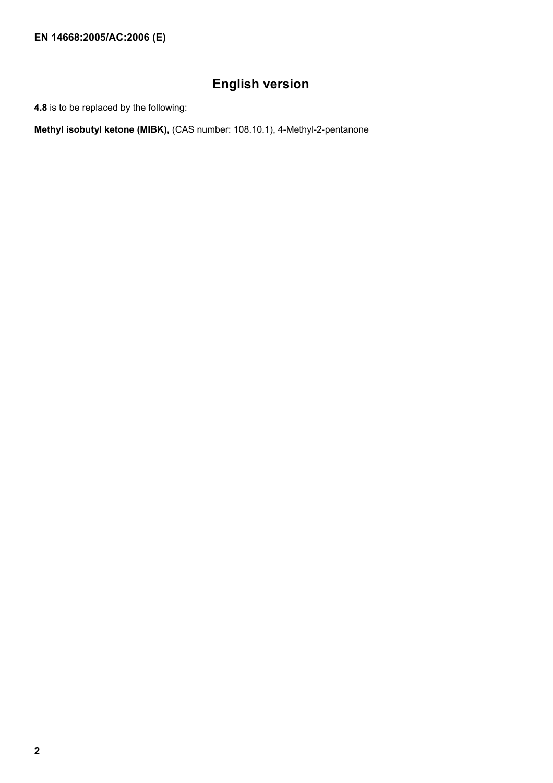**EN 14668:2005/AC:2006 (E)** 

## **English version**

**4.8** is to be replaced by the following:

**Methyl isobutyl ketone (MIBK),** (CAS number: 108.10.1), 4-Methyl-2-pentanone